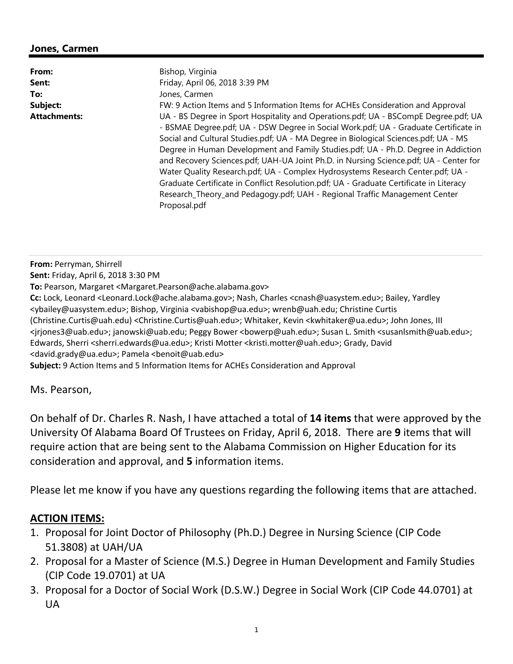## **Jones, Carmen**

| From:               | Bishop, Virginia                                                                                                                                                                                                                                                                                                                                                                                                                                                                                                                                                                                                                                                                                                             |
|---------------------|------------------------------------------------------------------------------------------------------------------------------------------------------------------------------------------------------------------------------------------------------------------------------------------------------------------------------------------------------------------------------------------------------------------------------------------------------------------------------------------------------------------------------------------------------------------------------------------------------------------------------------------------------------------------------------------------------------------------------|
| Sent:               | Friday, April 06, 2018 3:39 PM                                                                                                                                                                                                                                                                                                                                                                                                                                                                                                                                                                                                                                                                                               |
| To:                 | Jones, Carmen                                                                                                                                                                                                                                                                                                                                                                                                                                                                                                                                                                                                                                                                                                                |
| Subject:            | FW: 9 Action Items and 5 Information Items for ACHEs Consideration and Approval                                                                                                                                                                                                                                                                                                                                                                                                                                                                                                                                                                                                                                              |
| <b>Attachments:</b> | UA - BS Degree in Sport Hospitality and Operations.pdf; UA - BSCompE Degree.pdf; UA<br>- BSMAE Degree.pdf; UA - DSW Degree in Social Work.pdf; UA - Graduate Certificate in<br>Social and Cultural Studies.pdf; UA - MA Degree in Biological Sciences.pdf; UA - MS<br>Degree in Human Development and Family Studies.pdf; UA - Ph.D. Degree in Addiction<br>and Recovery Sciences.pdf; UAH-UA Joint Ph.D. in Nursing Science.pdf; UA - Center for<br>Water Quality Research.pdf; UA - Complex Hydrosystems Research Center.pdf; UA -<br>Graduate Certificate in Conflict Resolution.pdf; UA - Graduate Certificate in Literacy<br>Research_Theory_and Pedagogy.pdf; UAH - Regional Traffic Management Center<br>Proposal.pdf |

**From:** Perryman, Shirrell **Sent:** Friday, April 6, 2018 3:30 PM **To:** Pearson, Margaret <Margaret.Pearson@ache.alabama.gov> **Cc:** Lock, Leonard <Leonard.Lock@ache.alabama.gov>; Nash, Charles <cnash@uasystem.edu>; Bailey, Yardley <ybailey@uasystem.edu>; Bishop, Virginia <vabishop@ua.edu>; wrenb@uah.edu; Christine Curtis (Christine.Curtis@uah.edu) <Christine.Curtis@uah.edu>; Whitaker, Kevin <kwhitaker@ua.edu>; John Jones, III <jrjones3@uab.edu>; janowski@uab.edu; Peggy Bower <bowerp@uah.edu>; Susan L. Smith <susanlsmith@uab.edu>; Edwards, Sherri <sherri.edwards@ua.edu>; Kristi Motter <kristi.motter@uah.edu>; Grady, David <david.grady@ua.edu>; Pamela <benoit@uab.edu> **Subject:** 9 Action Items and 5 Information Items for ACHEs Consideration and Approval

Ms. Pearson,

On behalf of Dr. Charles R. Nash, I have attached a total of **14 items** that were approved by the University Of Alabama Board Of Trustees on Friday, April 6, 2018. There are **9** items that will require action that are being sent to the Alabama Commission on Higher Education for its consideration and approval, and **5** information items.

Please let me know if you have any questions regarding the following items that are attached.

## **ACTION ITEMS:**

- 1. Proposal for Joint Doctor of Philosophy (Ph.D.) Degree in Nursing Science (CIP Code 51.3808) at UAH/UA
- 2. Proposal for a Master of Science (M.S.) Degree in Human Development and Family Studies (CIP Code 19.0701) at UA
- 3. Proposal for a Doctor of Social Work (D.S.W.) Degree in Social Work (CIP Code 44.0701) at UA